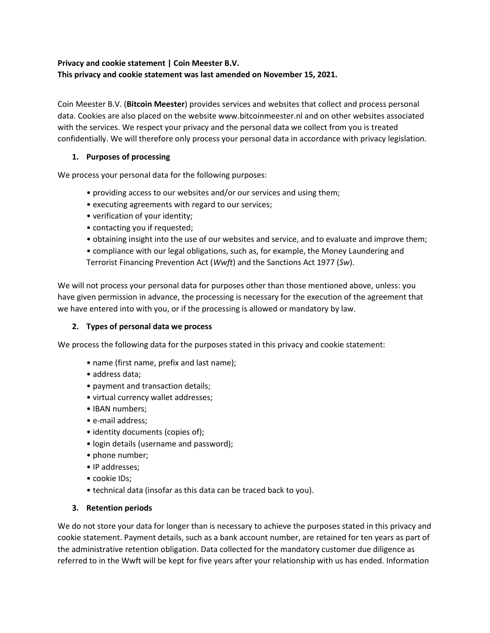## **Privacy and cookie statement | Coin Meester B.V. This privacy and cookie statement was last amended on November 15, 2021.**

Coin Meester B.V. (**Bitcoin Meester**) provides services and websites that collect and process personal data. Cookies are also placed on the website www.bitcoinmeester.nl and on other websites associated with the services. We respect your privacy and the personal data we collect from you is treated confidentially. We will therefore only process your personal data in accordance with privacy legislation.

### **1. Purposes of processing**

We process your personal data for the following purposes:

- providing access to our websites and/or our services and using them;
- executing agreements with regard to our services;
- verification of your identity;
- contacting you if requested;
- obtaining insight into the use of our websites and service, and to evaluate and improve them;
- compliance with our legal obligations, such as, for example, the Money Laundering and Terrorist Financing Prevention Act (*Wwft*) and the Sanctions Act 1977 (*Sw*).

We will not process your personal data for purposes other than those mentioned above, unless: you have given permission in advance, the processing is necessary for the execution of the agreement that we have entered into with you, or if the processing is allowed or mandatory by law.

#### **2. Types of personal data we process**

We process the following data for the purposes stated in this privacy and cookie statement:

- name (first name, prefix and last name);
- address data;
- payment and transaction details;
- virtual currency wallet addresses;
- IBAN numbers;
- e-mail address;
- identity documents (copies of);
- login details (username and password);
- phone number;
- IP addresses;
- cookie IDs;
- technical data (insofar as this data can be traced back to you).

#### **3. Retention periods**

We do not store your data for longer than is necessary to achieve the purposes stated in this privacy and cookie statement. Payment details, such as a bank account number, are retained for ten years as part of the administrative retention obligation. Data collected for the mandatory customer due diligence as referred to in the Wwft will be kept for five years after your relationship with us has ended. Information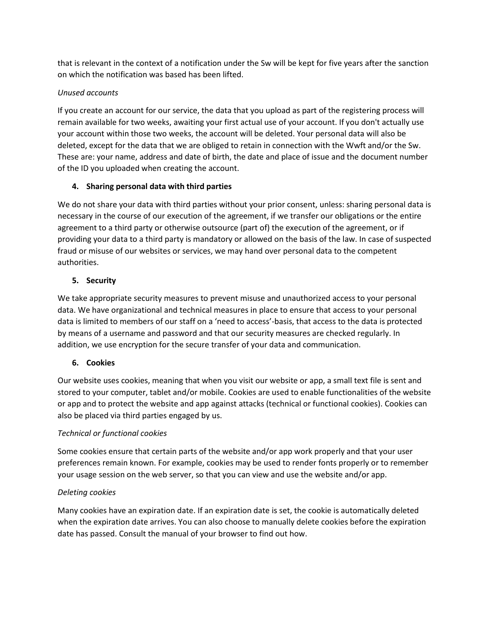that is relevant in the context of a notification under the Sw will be kept for five years after the sanction on which the notification was based has been lifted.

### *Unused accounts*

If you create an account for our service, the data that you upload as part of the registering process will remain available for two weeks, awaiting your first actual use of your account. If you don't actually use your account within those two weeks, the account will be deleted. Your personal data will also be deleted, except for the data that we are obliged to retain in connection with the Wwft and/or the Sw. These are: your name, address and date of birth, the date and place of issue and the document number of the ID you uploaded when creating the account.

## **4. Sharing personal data with third parties**

We do not share your data with third parties without your prior consent, unless: sharing personal data is necessary in the course of our execution of the agreement, if we transfer our obligations or the entire agreement to a third party or otherwise outsource (part of) the execution of the agreement, or if providing your data to a third party is mandatory or allowed on the basis of the law. In case of suspected fraud or misuse of our websites or services, we may hand over personal data to the competent authorities.

## **5. Security**

We take appropriate security measures to prevent misuse and unauthorized access to your personal data. We have organizational and technical measures in place to ensure that access to your personal data is limited to members of our staff on a 'need to access'-basis, that access to the data is protected by means of a username and password and that our security measures are checked regularly. In addition, we use encryption for the secure transfer of your data and communication.

# **6. Cookies**

Our website uses cookies, meaning that when you visit our website or app, a small text file is sent and stored to your computer, tablet and/or mobile. Cookies are used to enable functionalities of the website or app and to protect the website and app against attacks (technical or functional cookies). Cookies can also be placed via third parties engaged by us.

### *Technical or functional cookies*

Some cookies ensure that certain parts of the website and/or app work properly and that your user preferences remain known. For example, cookies may be used to render fonts properly or to remember your usage session on the web server, so that you can view and use the website and/or app.

### *Deleting cookies*

Many cookies have an expiration date. If an expiration date is set, the cookie is automatically deleted when the expiration date arrives. You can also choose to manually delete cookies before the expiration date has passed. Consult the manual of your browser to find out how.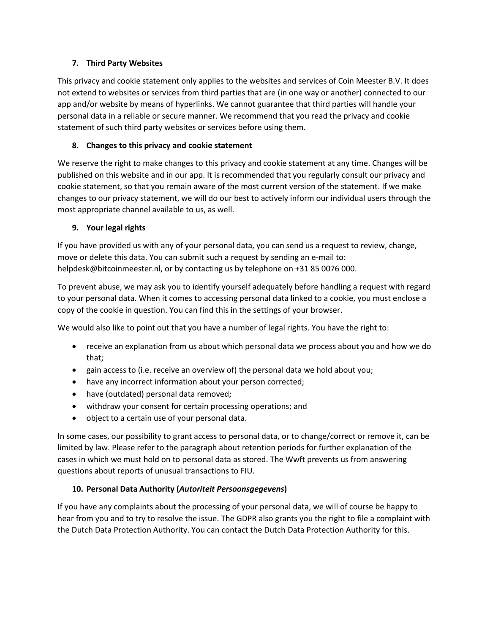### **7. Third Party Websites**

This privacy and cookie statement only applies to the websites and services of Coin Meester B.V. It does not extend to websites or services from third parties that are (in one way or another) connected to our app and/or website by means of hyperlinks. We cannot guarantee that third parties will handle your personal data in a reliable or secure manner. We recommend that you read the privacy and cookie statement of such third party websites or services before using them.

## **8. Changes to this privacy and cookie statement**

We reserve the right to make changes to this privacy and cookie statement at any time. Changes will be published on this website and in our app. It is recommended that you regularly consult our privacy and cookie statement, so that you remain aware of the most current version of the statement. If we make changes to our privacy statement, we will do our best to actively inform our individual users through the most appropriate channel available to us, as well.

## **9. Your legal rights**

If you have provided us with any of your personal data, you can send us a request to review, change, move or delete this data. You can submit such a request by sending an e-mail to: helpdesk@bitcoinmeester.nl, or by contacting us by telephone on +31 85 0076 000.

To prevent abuse, we may ask you to identify yourself adequately before handling a request with regard to your personal data. When it comes to accessing personal data linked to a cookie, you must enclose a copy of the cookie in question. You can find this in the settings of your browser.

We would also like to point out that you have a number of legal rights. You have the right to:

- receive an explanation from us about which personal data we process about you and how we do that;
- gain access to (i.e. receive an overview of) the personal data we hold about you;
- have any incorrect information about your person corrected;
- have (outdated) personal data removed;
- withdraw your consent for certain processing operations; and
- object to a certain use of your personal data.

In some cases, our possibility to grant access to personal data, or to change/correct or remove it, can be limited by law. Please refer to the paragraph about retention periods for further explanation of the cases in which we must hold on to personal data as stored. The Wwft prevents us from answering questions about reports of unusual transactions to FIU.

# **10. Personal Data Authority (***Autoriteit Persoonsgegevens***)**

If you have any complaints about the processing of your personal data, we will of course be happy to hear from you and to try to resolve the issue. The GDPR also grants you the right to file a complaint with the Dutch Data Protection Authority. You can contact the Dutch Data Protection Authority for this.